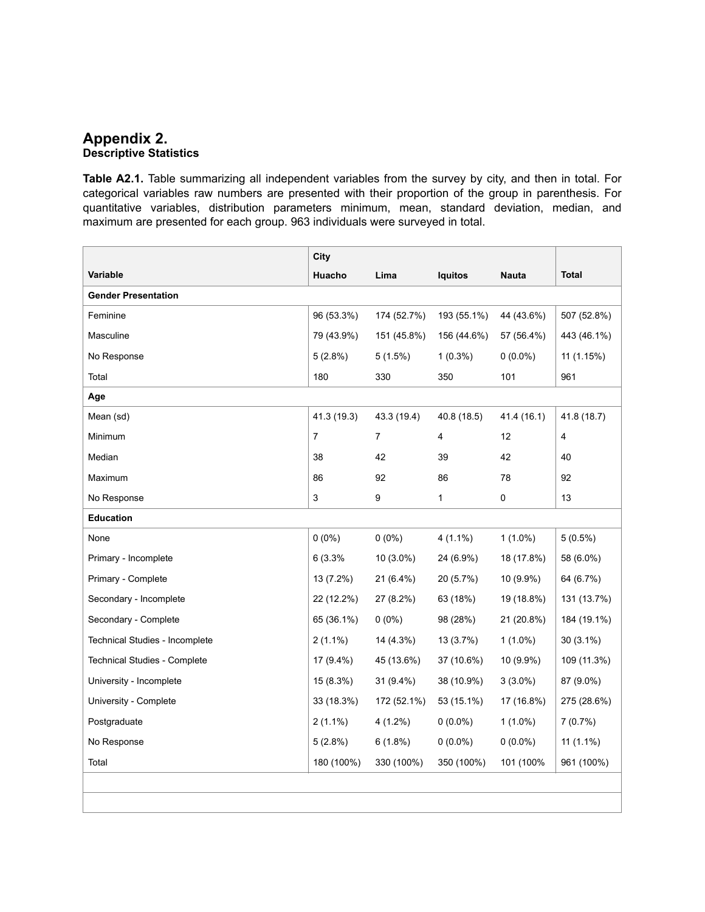## **Appendix 2. Descriptive Statistics**

**Table A2.1.** Table summarizing all independent variables from the survey by city, and then in total. For categorical variables raw numbers are presented with their proportion of the group in parenthesis. For quantitative variables, distribution parameters minimum, mean, standard deviation, median, and maximum are presented for each group. 963 individuals were surveyed in total.

|                                     | City        |             |                |              |              |
|-------------------------------------|-------------|-------------|----------------|--------------|--------------|
| Variable                            | Huacho      | Lima        | <b>Iquitos</b> | <b>Nauta</b> | <b>Total</b> |
| <b>Gender Presentation</b>          |             |             |                |              |              |
| Feminine                            | 96 (53.3%)  | 174 (52.7%) | 193 (55.1%)    | 44 (43.6%)   | 507 (52.8%)  |
| Masculine                           | 79 (43.9%)  | 151 (45.8%) | 156 (44.6%)    | 57 (56.4%)   | 443 (46.1%)  |
| No Response                         | $5(2.8\%)$  | $5(1.5\%)$  | $1(0.3\%)$     | $0(0.0\%)$   | 11 (1.15%)   |
| Total                               | 180         | 330         | 350            | 101          | 961          |
| Age                                 |             |             |                |              |              |
| Mean (sd)                           | 41.3 (19.3) | 43.3 (19.4) | 40.8 (18.5)    | 41.4 (16.1)  | 41.8 (18.7)  |
| Minimum                             | 7           | 7           | 4              | 12           | 4            |
| Median                              | 38          | 42          | 39             | 42           | 40           |
| Maximum                             | 86          | 92          | 86             | 78           | 92           |
| No Response                         | 3           | 9           | $\mathbf{1}$   | 0            | 13           |
| <b>Education</b>                    |             |             |                |              |              |
| None                                | $0(0\%)$    | $0(0\%)$    | $4(1.1\%)$     | $1(1.0\%)$   | $5(0.5\%)$   |
| Primary - Incomplete                | 6 (3.3%)    | 10 (3.0%)   | 24 (6.9%)      | 18 (17.8%)   | 58 (6.0%)    |
| Primary - Complete                  | 13 (7.2%)   | 21 (6.4%)   | 20 (5.7%)      | 10 (9.9%)    | 64 (6.7%)    |
| Secondary - Incomplete              | 22 (12.2%)  | 27 (8.2%)   | 63 (18%)       | 19 (18.8%)   | 131 (13.7%)  |
| Secondary - Complete                | 65 (36.1%)  | $0(0\%)$    | 98 (28%)       | 21 (20.8%)   | 184 (19.1%)  |
| Technical Studies - Incomplete      | $2(1.1\%)$  | 14 (4.3%)   | 13 (3.7%)      | $1(1.0\%)$   | $30(3.1\%)$  |
| <b>Technical Studies - Complete</b> | 17 (9.4%)   | 45 (13.6%)  | 37 (10.6%)     | 10 (9.9%)    | 109 (11.3%)  |
| University - Incomplete             | 15 (8.3%)   | 31 (9.4%)   | 38 (10.9%)     | $3(3.0\%)$   | 87 (9.0%)    |
| University - Complete               | 33 (18.3%)  | 172 (52.1%) | 53 (15.1%)     | 17 (16.8%)   | 275 (28.6%)  |
| Postgraduate                        | $2(1.1\%)$  | 4 (1.2%)    | $0(0.0\%)$     | $1(1.0\%)$   | 7(0.7%)      |
| No Response                         | 5(2.8%)     | 6(1.8%)     | $0(0.0\%)$     | $0(0.0\%)$   | $11(1.1\%)$  |
| Total                               | 180 (100%)  | 330 (100%)  | 350 (100%)     | 101 (100%    | 961 (100%)   |
|                                     |             |             |                |              |              |
|                                     |             |             |                |              |              |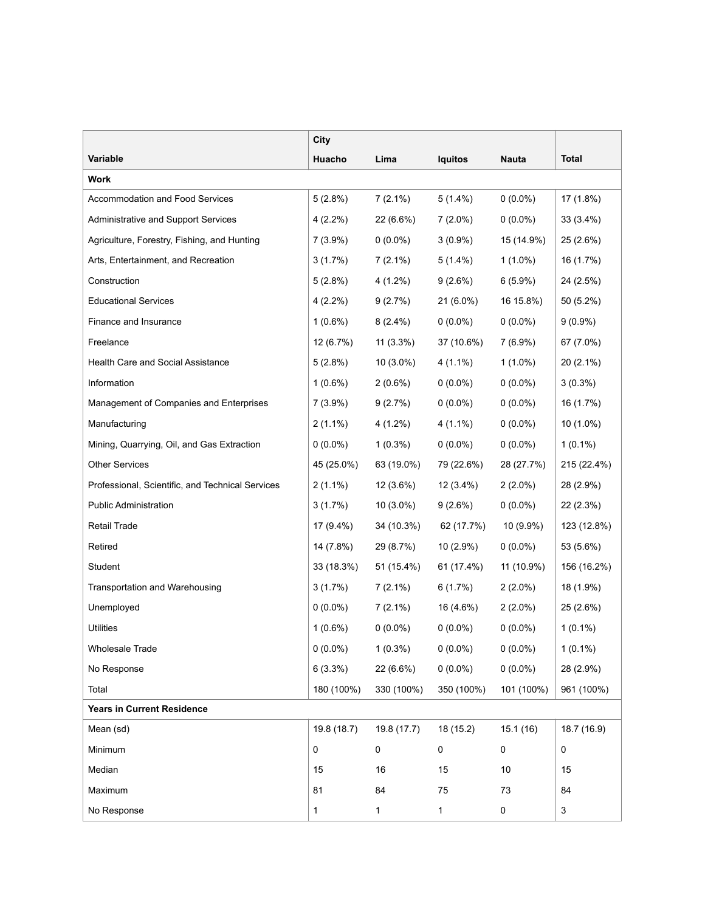|                                                  | City         |              |                |              |                           |  |
|--------------------------------------------------|--------------|--------------|----------------|--------------|---------------------------|--|
| Variable                                         | Huacho       | Lima         | <b>Iquitos</b> | <b>Nauta</b> | <b>Total</b>              |  |
| <b>Work</b>                                      |              |              |                |              |                           |  |
| Accommodation and Food Services                  | 5(2.8%)      | $7(2.1\%)$   | $5(1.4\%)$     | $0(0.0\%)$   | $17(1.8\%)$               |  |
| Administrative and Support Services              | $4(2.2\%)$   | 22 (6.6%)    | $7(2.0\%)$     | $0(0.0\%)$   | 33 (3.4%)                 |  |
| Agriculture, Forestry, Fishing, and Hunting      | $7(3.9\%)$   | $0(0.0\%)$   | $3(0.9\%)$     | 15 (14.9%)   | 25 (2.6%)                 |  |
| Arts, Entertainment, and Recreation              | $3(1.7\%)$   | $7(2.1\%)$   | $5(1.4\%)$     | $1(1.0\%)$   | 16 (1.7%)                 |  |
| Construction                                     | $5(2.8\%)$   | $4(1.2\%)$   | 9(2.6%)        | 6(5.9%)      | 24 (2.5%)                 |  |
| <b>Educational Services</b>                      | $4(2.2\%)$   | 9(2.7%)      | 21 (6.0%)      | 16 15.8%)    | 50 (5.2%)                 |  |
| Finance and Insurance                            | $1(0.6\%)$   | $8(2.4\%)$   | $0(0.0\%)$     | $0(0.0\%)$   | $9(0.9\%)$                |  |
| Freelance                                        | 12 (6.7%)    | $11(3.3\%)$  | 37 (10.6%)     | $7(6.9\%)$   | 67 (7.0%)                 |  |
| Health Care and Social Assistance                | $5(2.8\%)$   | 10 (3.0%)    | $4(1.1\%)$     | $1(1.0\%)$   | 20 (2.1%)                 |  |
| Information                                      | $1(0.6\%)$   | $2(0.6\%)$   | $0(0.0\%)$     | $0(0.0\%)$   | $3(0.3\%)$                |  |
| Management of Companies and Enterprises          | $7(3.9\%)$   | 9(2.7%)      | $0(0.0\%)$     | $0(0.0\%)$   | 16 (1.7%)                 |  |
| Manufacturing                                    | $2(1.1\%)$   | $4(1.2\%)$   | $4(1.1\%)$     | $0(0.0\%)$   | 10 (1.0%)                 |  |
| Mining, Quarrying, Oil, and Gas Extraction       | $0(0.0\%)$   | $1(0.3\%)$   | $0(0.0\%)$     | $0(0.0\%)$   | $1(0.1\%)$                |  |
| <b>Other Services</b>                            | 45 (25.0%)   | 63 (19.0%)   | 79 (22.6%)     | 28 (27.7%)   | 215 (22.4%)               |  |
| Professional, Scientific, and Technical Services | $2(1.1\%)$   | 12 (3.6%)    | 12 (3.4%)      | $2(2.0\%)$   | 28 (2.9%)                 |  |
| <b>Public Administration</b>                     | $3(1.7\%)$   | $10(3.0\%)$  | 9(2.6%)        | $0(0.0\%)$   | 22 (2.3%)                 |  |
| Retail Trade                                     | $17(9.4\%)$  | 34 (10.3%)   | 62 (17.7%)     | 10 (9.9%)    | 123 (12.8%)               |  |
| Retired                                          | 14 (7.8%)    | 29 (8.7%)    | 10 (2.9%)      | $0(0.0\%)$   | 53 (5.6%)                 |  |
| Student                                          | 33 (18.3%)   | 51 (15.4%)   | 61 (17.4%)     | 11 (10.9%)   | 156 (16.2%)               |  |
| Transportation and Warehousing                   | $3(1.7\%)$   | $7(2.1\%)$   | 6(1.7%)        | $2(2.0\%)$   | 18 (1.9%)                 |  |
| Unemployed                                       | $0(0.0\%)$   | $7(2.1\%)$   | 16 (4.6%)      | $2(2.0\%)$   | 25 (2.6%)                 |  |
| <b>Utilities</b>                                 | $1(0.6\%)$   | $0(0.0\%)$   | $0(0.0\%)$     | $0(0.0\%)$   | $1(0.1\%)$                |  |
| Wholesale Trade                                  | $0(0.0\%)$   | $1(0.3\%)$   | $0(0.0\%)$     | $0(0.0\%)$   | $1(0.1\%)$                |  |
| No Response                                      | 6(3.3%)      | 22 (6.6%)    | $0(0.0\%)$     | $0(0.0\%)$   | 28 (2.9%)                 |  |
| Total                                            | 180 (100%)   | 330 (100%)   | 350 (100%)     | 101 (100%)   | 961 (100%)                |  |
| <b>Years in Current Residence</b>                |              |              |                |              |                           |  |
| Mean (sd)                                        | 19.8(18.7)   | 19.8 (17.7)  | 18 (15.2)      | 15.1(16)     | 18.7 (16.9)               |  |
| Minimum                                          | 0            | 0            | $\mathsf 0$    | 0            | 0                         |  |
| Median                                           | 15           | 16           | 15             | 10           | 15                        |  |
| Maximum                                          | 81           | 84           | 75             | 73           | 84                        |  |
| No Response                                      | $\mathbf{1}$ | $\mathbf{1}$ | $\mathbf{1}$   | 0            | $\ensuremath{\mathsf{3}}$ |  |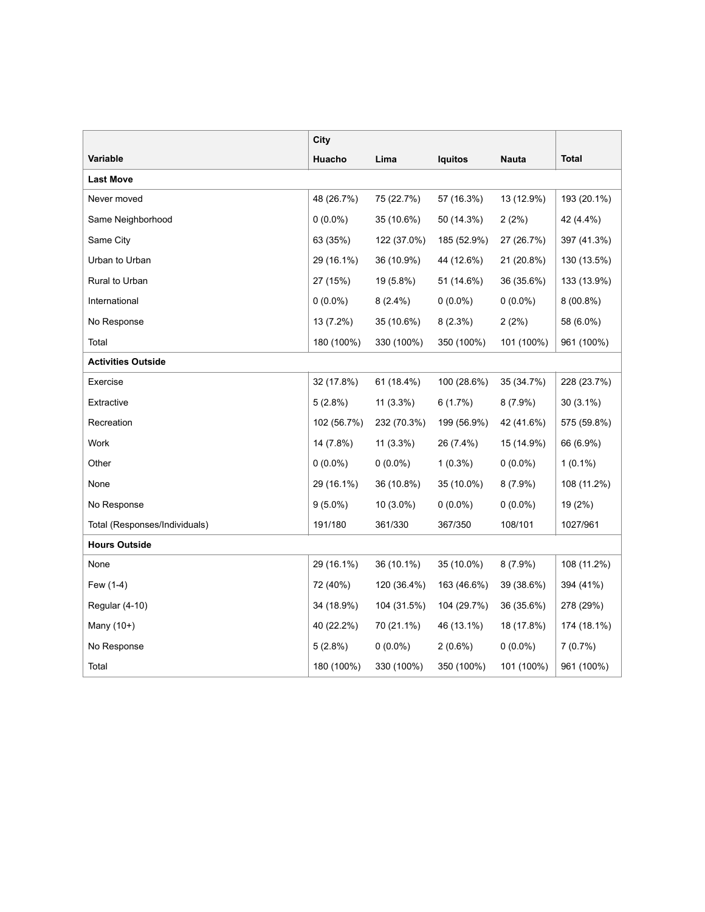|                               | City        |             |                |            |              |  |  |  |
|-------------------------------|-------------|-------------|----------------|------------|--------------|--|--|--|
| Variable                      | Huacho      | Lima        | <b>Iquitos</b> | Nauta      | <b>Total</b> |  |  |  |
| <b>Last Move</b>              |             |             |                |            |              |  |  |  |
| Never moved                   | 48 (26.7%)  | 75 (22.7%)  | 57 (16.3%)     | 13 (12.9%) | 193 (20.1%)  |  |  |  |
| Same Neighborhood             | $0(0.0\%)$  | 35 (10.6%)  | 50 (14.3%)     | 2(2%)      | 42 (4.4%)    |  |  |  |
| Same City                     | 63 (35%)    | 122 (37.0%) | 185 (52.9%)    | 27 (26.7%) | 397 (41.3%)  |  |  |  |
| Urban to Urban                | 29 (16.1%)  | 36 (10.9%)  | 44 (12.6%)     | 21 (20.8%) | 130 (13.5%)  |  |  |  |
| Rural to Urban                | 27 (15%)    | 19 (5.8%)   | 51 (14.6%)     | 36 (35.6%) | 133 (13.9%)  |  |  |  |
| International                 | $0(0.0\%)$  | $8(2.4\%)$  | $0(0.0\%)$     | $0(0.0\%)$ | $8(00.8\%)$  |  |  |  |
| No Response                   | 13 (7.2%)   | 35 (10.6%)  | $8(2.3\%)$     | 2(2%)      | 58 (6.0%)    |  |  |  |
| Total                         | 180 (100%)  | 330 (100%)  | 350 (100%)     | 101 (100%) | 961 (100%)   |  |  |  |
| <b>Activities Outside</b>     |             |             |                |            |              |  |  |  |
| Exercise                      | 32 (17.8%)  | 61 (18.4%)  | 100 (28.6%)    | 35 (34.7%) | 228 (23.7%)  |  |  |  |
| Extractive                    | 5(2.8%)     | $11(3.3\%)$ | 6(1.7%)        | $8(7.9\%)$ | $30(3.1\%)$  |  |  |  |
| Recreation                    | 102 (56.7%) | 232 (70.3%) | 199 (56.9%)    | 42 (41.6%) | 575 (59.8%)  |  |  |  |
| Work                          | 14 (7.8%)   | $11(3.3\%)$ | 26 (7.4%)      | 15 (14.9%) | 66 (6.9%)    |  |  |  |
| Other                         | $0(0.0\%)$  | $0(0.0\%)$  | $1(0.3\%)$     | $0(0.0\%)$ | $1(0.1\%)$   |  |  |  |
| None                          | 29 (16.1%)  | 36 (10.8%)  | 35 (10.0%)     | $8(7.9\%)$ | 108 (11.2%)  |  |  |  |
| No Response                   | $9(5.0\%)$  | $10(3.0\%)$ | $0(0.0\%)$     | $0(0.0\%)$ | 19 (2%)      |  |  |  |
| Total (Responses/Individuals) | 191/180     | 361/330     | 367/350        | 108/101    | 1027/961     |  |  |  |
| <b>Hours Outside</b>          |             |             |                |            |              |  |  |  |
| None                          | 29 (16.1%)  | 36 (10.1%)  | 35 (10.0%)     | $8(7.9\%)$ | 108 (11.2%)  |  |  |  |
| Few (1-4)                     | 72 (40%)    | 120 (36.4%) | 163 (46.6%)    | 39 (38.6%) | 394 (41%)    |  |  |  |
| Regular (4-10)                | 34 (18.9%)  | 104 (31.5%) | 104 (29.7%)    | 36 (35.6%) | 278 (29%)    |  |  |  |
| Many (10+)                    | 40 (22.2%)  | 70 (21.1%)  | 46 (13.1%)     | 18 (17.8%) | 174 (18.1%)  |  |  |  |
| No Response                   | 5(2.8%)     | $0(0.0\%)$  | $2(0.6\%)$     | $0(0.0\%)$ | 7(0.7%)      |  |  |  |
| Total                         | 180 (100%)  | 330 (100%)  | 350 (100%)     | 101 (100%) | 961 (100%)   |  |  |  |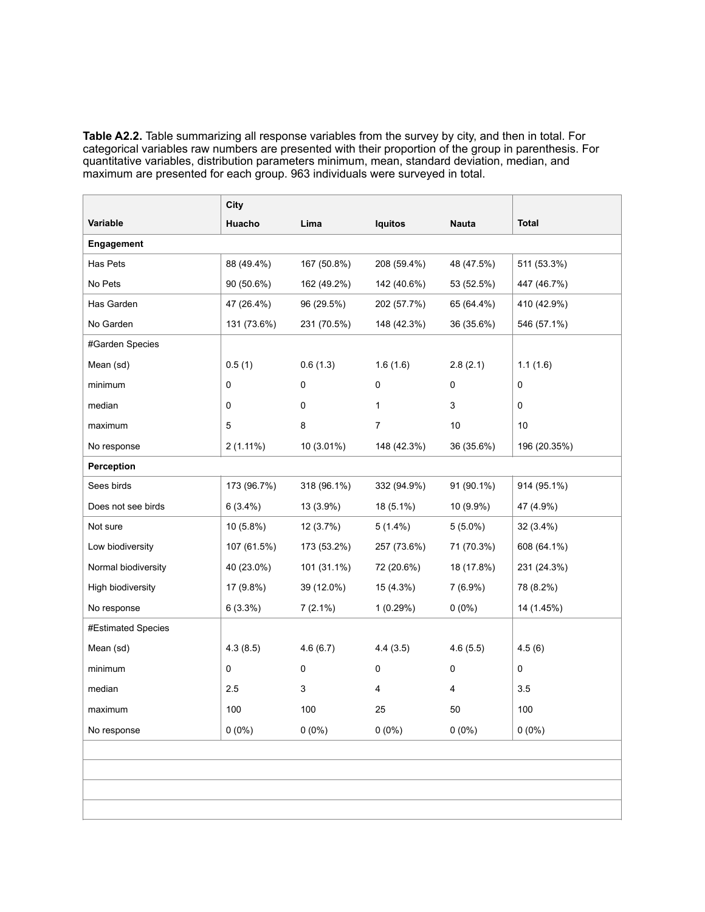**Table A2.2.** Table summarizing all response variables from the survey by city, and then in total. For categorical variables raw numbers are presented with their proportion of the group in parenthesis. For quantitative variables, distribution parameters minimum, mean, standard deviation, median, and maximum are presented for each group. 963 individuals were surveyed in total.

|                     | <b>City</b> |             |                |              |              |  |
|---------------------|-------------|-------------|----------------|--------------|--------------|--|
| Variable            | Huacho      | Lima        | <b>Iquitos</b> | <b>Nauta</b> | <b>Total</b> |  |
| Engagement          |             |             |                |              |              |  |
| Has Pets            | 88 (49.4%)  | 167 (50.8%) | 208 (59.4%)    | 48 (47.5%)   | 511 (53.3%)  |  |
| No Pets             | 90 (50.6%)  | 162 (49.2%) | 142 (40.6%)    | 53 (52.5%)   | 447 (46.7%)  |  |
| Has Garden          | 47 (26.4%)  | 96 (29.5%)  | 202 (57.7%)    | 65 (64.4%)   | 410 (42.9%)  |  |
| No Garden           | 131 (73.6%) | 231 (70.5%) | 148 (42.3%)    | 36 (35.6%)   | 546 (57.1%)  |  |
| #Garden Species     |             |             |                |              |              |  |
| Mean (sd)           | 0.5(1)      | 0.6(1.3)    | 1.6(1.6)       | 2.8(2.1)     | 1.1(1.6)     |  |
| minimum             | 0           | 0           | 0              | $\pmb{0}$    | 0            |  |
| median              | 0           | 0           | 1              | 3            | 0            |  |
| maximum             | 5           | 8           | 7              | 10           | 10           |  |
| No response         | $2(1.11\%)$ | 10 (3.01%)  | 148 (42.3%)    | 36 (35.6%)   | 196 (20.35%) |  |
| Perception          |             |             |                |              |              |  |
| Sees birds          | 173 (96.7%) | 318 (96.1%) | 332 (94.9%)    | 91 (90.1%)   | 914 (95.1%)  |  |
| Does not see birds  | 6(3.4%)     | 13 (3.9%)   | 18 (5.1%)      | 10 (9.9%)    | 47 (4.9%)    |  |
| Not sure            | 10 (5.8%)   | 12 (3.7%)   | $5(1.4\%)$     | $5(5.0\%)$   | 32 (3.4%)    |  |
| Low biodiversity    | 107 (61.5%) | 173 (53.2%) | 257 (73.6%)    | 71 (70.3%)   | 608 (64.1%)  |  |
| Normal biodiversity | 40 (23.0%)  | 101 (31.1%) | 72 (20.6%)     | 18 (17.8%)   | 231 (24.3%)  |  |
| High biodiversity   | 17 (9.8%)   | 39 (12.0%)  | 15 (4.3%)      | $7(6.9\%)$   | 78 (8.2%)    |  |
| No response         | 6(3.3%)     | $7(2.1\%)$  | 1(0.29%)       | $0(0\%)$     | 14 (1.45%)   |  |
| #Estimated Species  |             |             |                |              |              |  |
| Mean (sd)           | 4.3(8.5)    | 4.6(6.7)    | 4.4(3.5)       | 4.6(5.5)     | 4.5(6)       |  |
| minimum             | 0           | 0           | 0              | $\mathsf 0$  | 0            |  |
| median              | 2.5         | 3           | 4              | 4            | 3.5          |  |
| maximum             | 100         | 100         | 25             | $50\,$       | 100          |  |
| No response         | $0(0\%)$    | $0(0\%)$    | $0(0\%)$       | $0(0\%)$     | $0(0\%)$     |  |
|                     |             |             |                |              |              |  |
|                     |             |             |                |              |              |  |
|                     |             |             |                |              |              |  |
|                     |             |             |                |              |              |  |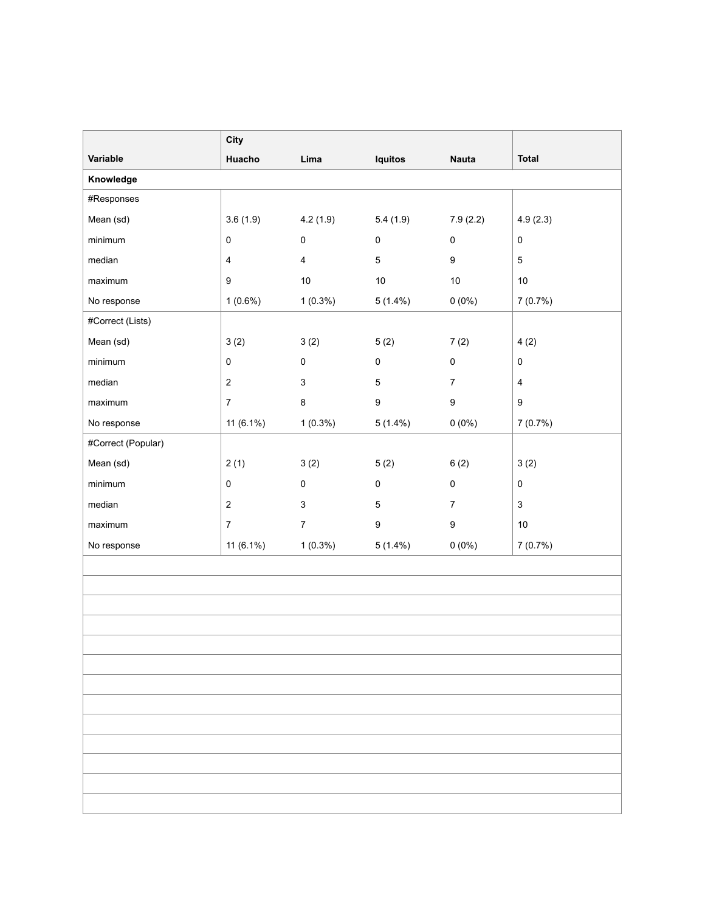|                    | City                    |                |                     |                     |                |
|--------------------|-------------------------|----------------|---------------------|---------------------|----------------|
| Variable           | Huacho                  | Lima           | <b>Iquitos</b>      | <b>Nauta</b>        | <b>Total</b>   |
| Knowledge          |                         |                |                     |                     |                |
| #Responses         |                         |                |                     |                     |                |
| Mean (sd)          | 3.6(1.9)                | 4.2(1.9)       | 5.4(1.9)            | 7.9(2.2)            | 4.9(2.3)       |
| minimum            | $\pmb{0}$               | $\mathbf 0$    | $\mathsf{O}\xspace$ | $\mathsf{O}\xspace$ | $\mathbf 0$    |
| median             | $\overline{\mathbf{4}}$ | $\overline{4}$ | $5\phantom{.0}$     | 9                   | $\sqrt{5}$     |
| maximum            | $\boldsymbol{9}$        | $10$           | $10$                | $10\,$              | $10$           |
| No response        | $1(0.6\%)$              | $1(0.3\%)$     | $5(1.4\%)$          | $0(0\%)$            | 7(0.7%)        |
| #Correct (Lists)   |                         |                |                     |                     |                |
| Mean (sd)          | 3(2)                    | 3(2)           | 5(2)                | 7(2)                | 4(2)           |
| minimum            | $\pmb{0}$               | $\mathbf 0$    | $\mathbf 0$         | $\pmb{0}$           | $\mathbf 0$    |
| median             | $\boldsymbol{2}$        | 3              | $\,$ 5 $\,$         | $\overline{7}$      | $\overline{4}$ |
| maximum            | $\overline{7}$          | $\bf 8$        | $\boldsymbol{9}$    | $\boldsymbol{9}$    | 9              |
| No response        | 11 (6.1%)               | $1(0.3\%)$     | $5(1.4\%)$          | $0(0\%)$            | 7(0.7%)        |
| #Correct (Popular) |                         |                |                     |                     |                |
| Mean (sd)          | 2(1)                    | 3(2)           | 5(2)                | 6(2)                | 3(2)           |
| minimum            | $\pmb{0}$               | $\pmb{0}$      | $\mathsf 0$         | $\pmb{0}$           | $\mathsf 0$    |
| median             | $\overline{2}$          | $\mathsf 3$    | $\overline{5}$      | $\overline{7}$      | $\mathbf{3}$   |
| maximum            | $\overline{7}$          | $\overline{7}$ | $\boldsymbol{9}$    | $\boldsymbol{9}$    | $10$           |
| No response        | 11 (6.1%)               | $1(0.3\%)$     | $5(1.4\%)$          | $0(0\%)$            | 7(0.7%)        |
|                    |                         |                |                     |                     |                |
|                    |                         |                |                     |                     |                |
|                    |                         |                |                     |                     |                |
|                    |                         |                |                     |                     |                |
|                    |                         |                |                     |                     |                |
|                    |                         |                |                     |                     |                |
|                    |                         |                |                     |                     |                |
|                    |                         |                |                     |                     |                |
|                    |                         |                |                     |                     |                |
|                    |                         |                |                     |                     |                |
|                    |                         |                |                     |                     |                |
|                    |                         |                |                     |                     |                |
|                    |                         |                |                     |                     |                |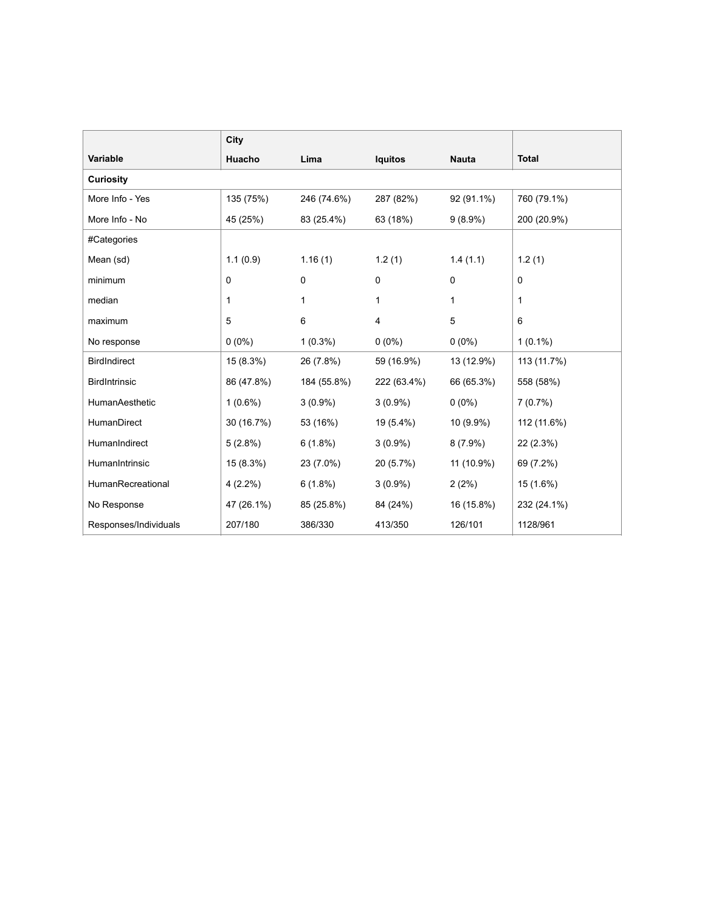|                       | City       |             |                |              |              |
|-----------------------|------------|-------------|----------------|--------------|--------------|
| <b>Variable</b>       | Huacho     | Lima        | <b>Iquitos</b> | <b>Nauta</b> | <b>Total</b> |
| <b>Curiosity</b>      |            |             |                |              |              |
| More Info - Yes       | 135 (75%)  | 246 (74.6%) | 287 (82%)      | 92 (91.1%)   | 760 (79.1%)  |
| More Info - No        | 45 (25%)   | 83 (25.4%)  | 63 (18%)       | $9(8.9\%)$   | 200 (20.9%)  |
| #Categories           |            |             |                |              |              |
| Mean (sd)             | 1.1(0.9)   | 1.16(1)     | 1.2(1)         | 1.4(1.1)     | 1.2(1)       |
| minimum               | 0          | $\mathbf 0$ | $\Omega$       | $\mathbf 0$  | 0            |
| median                | 1          | 1           | 1              | 1            | 1            |
| maximum               | 5          | 6           | 4              | 5            | 6            |
| No response           | $0(0\%)$   | $1(0.3\%)$  | $0(0\%)$       | $0(0\%)$     | $1(0.1\%)$   |
| <b>BirdIndirect</b>   | 15 (8.3%)  | 26 (7.8%)   | 59 (16.9%)     | 13 (12.9%)   | 113 (11.7%)  |
| <b>BirdIntrinsic</b>  | 86 (47.8%) | 184 (55.8%) | 222 (63.4%)    | 66 (65.3%)   | 558 (58%)    |
| HumanAesthetic        | $1(0.6\%)$ | $3(0.9\%)$  | $3(0.9\%)$     | $0(0\%)$     | $7(0.7\%)$   |
| HumanDirect           | 30 (16.7%) | 53 (16%)    | 19 (5.4%)      | 10 (9.9%)    | 112 (11.6%)  |
| HumanIndirect         | $5(2.8\%)$ | 6(1.8%)     | $3(0.9\%)$     | $8(7.9\%)$   | 22 (2.3%)    |
| HumanIntrinsic        | 15 (8.3%)  | 23 (7.0%)   | 20 (5.7%)      | 11 (10.9%)   | 69 (7.2%)    |
| HumanRecreational     | $4(2.2\%)$ | 6(1.8%)     | $3(0.9\%)$     | 2(2%)        | 15 (1.6%)    |
| No Response           | 47 (26.1%) | 85 (25.8%)  | 84 (24%)       | 16 (15.8%)   | 232 (24.1%)  |
| Responses/Individuals | 207/180    | 386/330     | 413/350        | 126/101      | 1128/961     |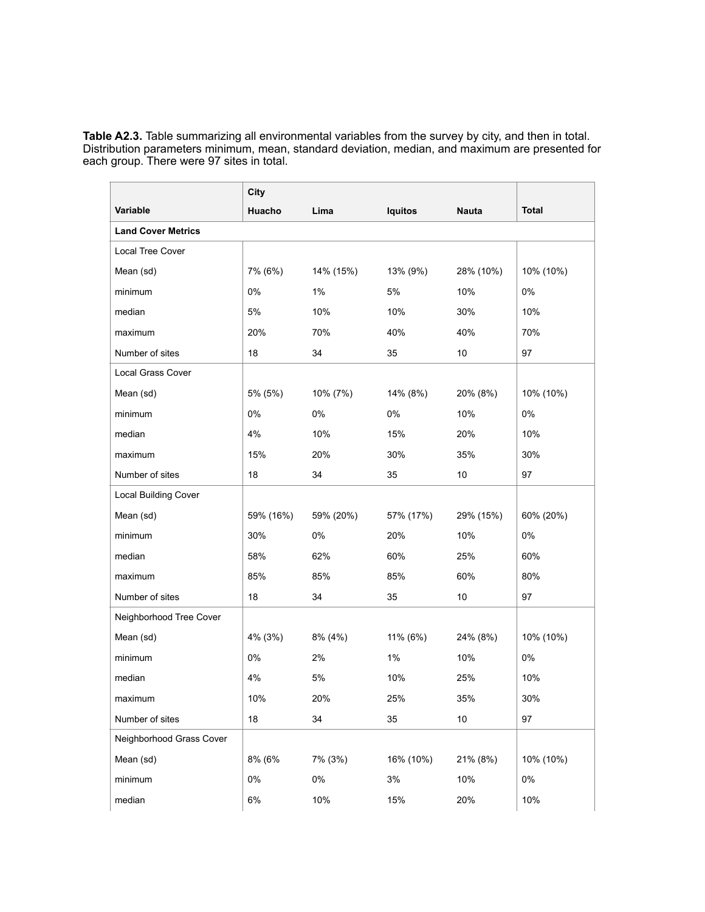**Table A2.3.** Table summarizing all environmental variables from the survey by city, and then in total. Distribution parameters minimum, mean, standard deviation, median, and maximum are presented for each group. There were 97 sites in total.

|                             | City      |           |                |              |              |
|-----------------------------|-----------|-----------|----------------|--------------|--------------|
| Variable                    | Huacho    | Lima      | <b>Iquitos</b> | <b>Nauta</b> | <b>Total</b> |
| <b>Land Cover Metrics</b>   |           |           |                |              |              |
| <b>Local Tree Cover</b>     |           |           |                |              |              |
| Mean (sd)                   | 7% (6%)   | 14% (15%) | 13% (9%)       | 28% (10%)    | 10% (10%)    |
| minimum                     | 0%        | $1\%$     | 5%             | 10%          | 0%           |
| median                      | 5%        | 10%       | 10%            | 30%          | 10%          |
| maximum                     | 20%       | 70%       | 40%            | 40%          | 70%          |
| Number of sites             | 18        | 34        | 35             | 10           | 97           |
| Local Grass Cover           |           |           |                |              |              |
| Mean (sd)                   | 5% (5%)   | 10% (7%)  | 14% (8%)       | 20% (8%)     | 10% (10%)    |
| minimum                     | 0%        | 0%        | 0%             | 10%          | 0%           |
| median                      | 4%        | 10%       | 15%            | 20%          | 10%          |
| maximum                     | 15%       | 20%       | 30%            | 35%          | 30%          |
| Number of sites             | 18        | 34        | 35             | 10           | 97           |
| <b>Local Building Cover</b> |           |           |                |              |              |
| Mean (sd)                   | 59% (16%) | 59% (20%) | 57% (17%)      | 29% (15%)    | 60% (20%)    |
| minimum                     | 30%       | 0%        | 20%            | 10%          | $0\%$        |
| median                      | 58%       | 62%       | 60%            | 25%          | 60%          |
| maximum                     | 85%       | 85%       | 85%            | 60%          | 80%          |
| Number of sites             | 18        | 34        | 35             | 10           | 97           |
| Neighborhood Tree Cover     |           |           |                |              |              |
| Mean (sd)                   | 4% (3%)   | 8% (4%)   | 11% (6%)       | 24% (8%)     | 10% (10%)    |
| minimum                     | 0%        | 2%        | 1%             | 10%          | 0%           |
| median                      | 4%        | 5%        | 10%            | 25%          | 10%          |
| maximum                     | 10%       | 20%       | 25%            | 35%          | 30%          |
| Number of sites             | 18        | 34        | 35             | $10$         | 97           |
| Neighborhood Grass Cover    |           |           |                |              |              |
| Mean (sd)                   | 8% (6%    | 7% (3%)   | 16% (10%)      | 21% (8%)     | 10% (10%)    |
| minimum                     | 0%        | $0\%$     | 3%             | 10%          | $0\%$        |
| median                      | $6\%$     | 10%       | 15%            | 20%          | 10%          |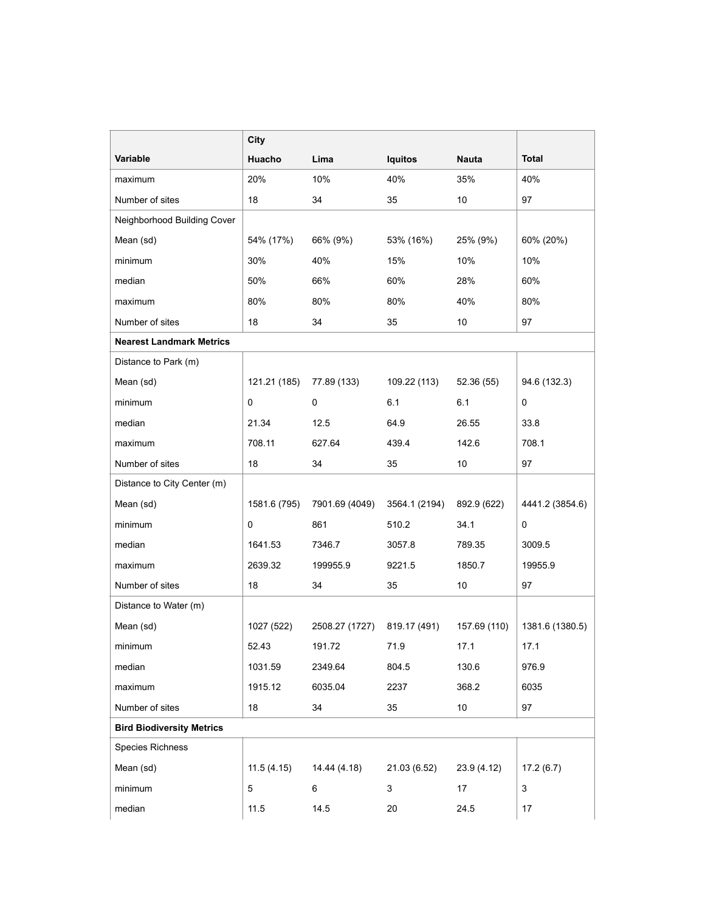|                                  | City         |                |                |              |                 |
|----------------------------------|--------------|----------------|----------------|--------------|-----------------|
| Variable                         | Huacho       | Lima           | <b>Iquitos</b> | <b>Nauta</b> | <b>Total</b>    |
| maximum                          | 20%          | 10%            | 40%            | 35%          | 40%             |
| Number of sites                  | 18           | 34             | 35             | 10           | 97              |
| Neighborhood Building Cover      |              |                |                |              |                 |
| Mean (sd)                        | 54% (17%)    | 66% (9%)       | 53% (16%)      | 25% (9%)     | 60% (20%)       |
| minimum                          | 30%          | 40%            | 15%            | 10%          | 10%             |
| median                           | 50%          | 66%            | 60%            | 28%          | 60%             |
| maximum                          | 80%          | 80%            | 80%            | 40%          | 80%             |
| Number of sites                  | 18           | 34             | 35             | 10           | 97              |
| <b>Nearest Landmark Metrics</b>  |              |                |                |              |                 |
| Distance to Park (m)             |              |                |                |              |                 |
| Mean (sd)                        | 121.21 (185) | 77.89 (133)    | 109.22 (113)   | 52.36 (55)   | 94.6 (132.3)    |
| minimum                          | 0            | 0              | 6.1            | 6.1          | $\pmb{0}$       |
| median                           | 21.34        | 12.5           | 64.9           | 26.55        | 33.8            |
| maximum                          | 708.11       | 627.64         | 439.4          | 142.6        | 708.1           |
| Number of sites                  | 18           | 34             | 35             | 10           | 97              |
| Distance to City Center (m)      |              |                |                |              |                 |
| Mean (sd)                        | 1581.6 (795) | 7901.69 (4049) | 3564.1 (2194)  | 892.9 (622)  | 4441.2 (3854.6) |
| minimum                          | 0            | 861            | 510.2          | 34.1         | 0               |
| median                           | 1641.53      | 7346.7         | 3057.8         | 789.35       | 3009.5          |
| maximum                          | 2639.32      | 199955.9       | 9221.5         | 1850.7       | 19955.9         |
| Number of sites                  | 18           | 34             | 35             | 10           | 97              |
| Distance to Water (m)            |              |                |                |              |                 |
| Mean (sd)                        | 1027 (522)   | 2508.27 (1727) | 819.17 (491)   | 157.69 (110) | 1381.6 (1380.5) |
| minimum                          | 52.43        | 191.72         | 71.9           | 17.1         | 17.1            |
| median                           | 1031.59      | 2349.64        | 804.5          | 130.6        | 976.9           |
| maximum                          | 1915.12      | 6035.04        | 2237           | 368.2        | 6035            |
| Number of sites                  | 18           | 34             | 35             | 10           | 97              |
| <b>Bird Biodiversity Metrics</b> |              |                |                |              |                 |
| Species Richness                 |              |                |                |              |                 |
| Mean (sd)                        | 11.5(4.15)   | 14.44 (4.18)   | 21.03 (6.52)   | 23.9 (4.12)  | 17.2(6.7)       |
| minimum                          | 5            | 6              | 3              | 17           | $\mathsf 3$     |
| median                           | 11.5         | 14.5           | 20             | 24.5         | $17\,$          |